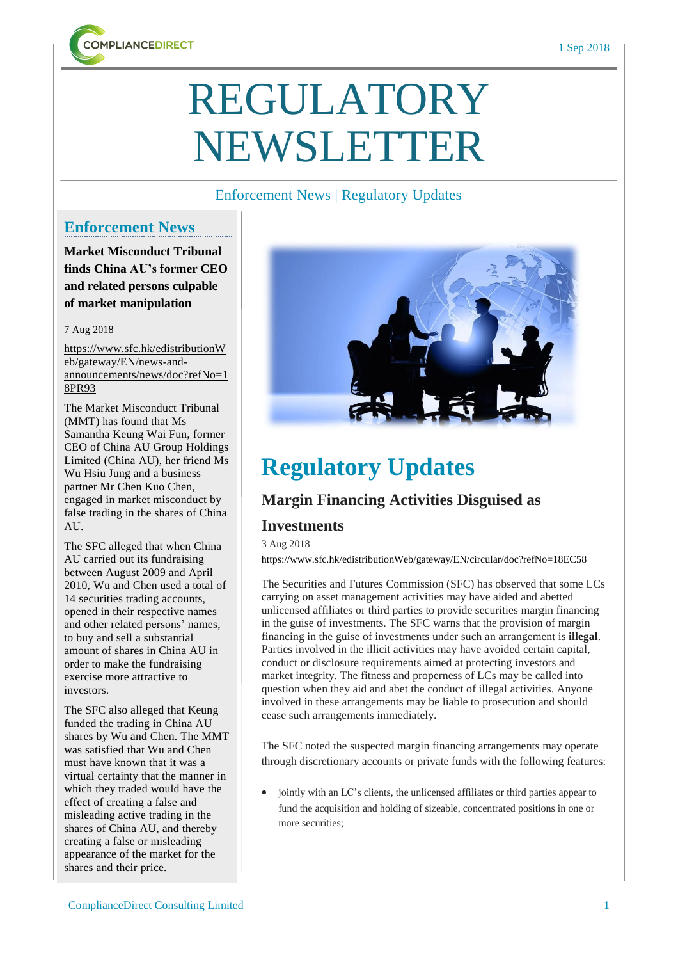

# REGULATORY NEWSLETTER

#### Enforcement News | Regulatory Updates

## **Enforcement News**

**Market Misconduct Tribunal finds China AU's former CEO and related persons culpable of market manipulation**

7 Aug 2018

[https://www.sfc.hk/edistributionW](https://www.sfc.hk/edistributionWeb/gateway/EN/news-and-announcements/news/doc?refNo=18PR93) [eb/gateway/EN/news-and](https://www.sfc.hk/edistributionWeb/gateway/EN/news-and-announcements/news/doc?refNo=18PR93)[announcements/news/doc?refNo=1](https://www.sfc.hk/edistributionWeb/gateway/EN/news-and-announcements/news/doc?refNo=18PR93) [8PR93](https://www.sfc.hk/edistributionWeb/gateway/EN/news-and-announcements/news/doc?refNo=18PR93)

The Market Misconduct Tribunal (MMT) has found that Ms Samantha Keung Wai Fun, former CEO of China AU Group Holdings Limited (China AU), her friend Ms Wu Hsiu Jung and a business partner Mr Chen Kuo Chen, engaged in market misconduct by false trading in the shares of China AU.

The SFC alleged that when China AU carried out its fundraising between August 2009 and April 2010, Wu and Chen used a total of 14 securities trading accounts, opened in their respective names and other related persons' names, to buy and sell a substantial amount of shares in China AU in order to make the fundraising exercise more attractive to investors.

The SFC also alleged that Keung funded the trading in China AU shares by Wu and Chen. The MMT was satisfied that Wu and Chen must have known that it was a virtual certainty that the manner in which they traded would have the effect of creating a false and misleading active trading in the shares of China AU, and thereby creating a false or misleading appearance of the market for the shares and their price.



# **Regulatory Updates**

# **Margin Financing Activities Disguised as**

### **Investments**

3 Aug 2018

<https://www.sfc.hk/edistributionWeb/gateway/EN/circular/doc?refNo=18EC58>

The Securities and Futures Commission (SFC) has observed that some LCs carrying on asset management activities may have aided and abetted unlicensed affiliates or third parties to provide securities margin financing in the guise of investments. The SFC warns that the provision of margin financing in the guise of investments under such an arrangement is **illegal**. Parties involved in the illicit activities may have avoided certain capital, conduct or disclosure requirements aimed at protecting investors and market integrity. The fitness and properness of LCs may be called into question when they aid and abet the conduct of illegal activities. Anyone involved in these arrangements may be liable to prosecution and should cease such arrangements immediately.

The SFC noted the suspected margin financing arrangements may operate through discretionary accounts or private funds with the following features:

• jointly with an LC's clients, the unlicensed affiliates or third parties appear to fund the acquisition and holding of sizeable, concentrated positions in one or more securities;